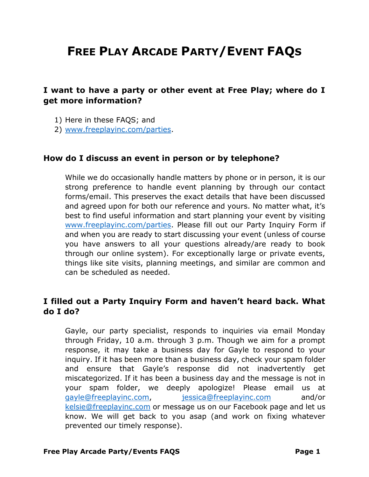# **FREE PLAY ARCADE PARTY/EVENT FAQS**

# **I want to have a party or other event at Free Play; where do I get more information?**

- 1) Here in these FAQS; and
- 2) [www.freeplayinc.com/parties.](http://www.freeplayinc.com/parties)

#### **How do I discuss an event in person or by telephone?**

While we do occasionally handle matters by phone or in person, it is our strong preference to handle event planning by through our contact forms/email. This preserves the exact details that have been discussed and agreed upon for both our reference and yours. No matter what, it's best to find useful information and start planning your event by visiting [www.freeplayinc.com/parties.](http://www.freeplayinc.com/parties) Please fill out our Party Inquiry Form if and when you are ready to start discussing your event (unless of course you have answers to all your questions already/are ready to book through our online system). For exceptionally large or private events, things like site visits, planning meetings, and similar are common and can be scheduled as needed.

# **I filled out a Party Inquiry Form and haven't heard back. What do I do?**

Gayle, our party specialist, responds to inquiries via email Monday through Friday, 10 a.m. through 3 p.m. Though we aim for a prompt response, it may take a business day for Gayle to respond to your inquiry. If it has been more than a business day, check your spam folder and ensure that Gayle's response did not inadvertently get miscategorized. If it has been a business day and the message is not in your spam folder, we deeply apologize! Please email us at [gayle@freeplayinc.com,](mailto:gayle@freeplayinc.com) [jessica@freeplayinc.com](mailto:jessica@freeplayinc.com) and/or [kelsie@freeplayinc.com](mailto:kelsie@freeplayinc.com) or message us on our Facebook page and let us know. We will get back to you asap (and work on fixing whatever prevented our timely response).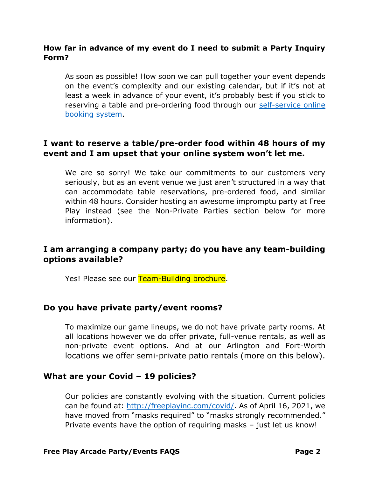### **How far in advance of my event do I need to submit a Party Inquiry Form?**

As soon as possible! How soon we can pull together your event depends on the event's complexity and our existing calendar, but if it's not at least a week in advance of your event, it's probably best if you stick to reserving a table and pre-ordering food through our [self-service online](https://freeplayinc.com/tables/)  [booking system.](https://freeplayinc.com/tables/)

# **I want to reserve a table/pre-order food within 48 hours of my event and I am upset that your online system won't let me.**

We are so sorry! We take our commitments to our customers very seriously, but as an event venue we just aren't structured in a way that can accommodate table reservations, pre-ordered food, and similar within 48 hours. Consider hosting an awesome impromptu party at Free Play instead (see the Non-Private Parties section below for more information).

# **I am arranging a company party; do you have any team-building options available?**

Yes! Please see our Team-Building brochure.

#### **Do you have private party/event rooms?**

To maximize our game lineups, we do not have private party rooms. At all locations however we do offer private, full-venue rentals, as well as non-private event options. And at our Arlington and Fort-Worth locations we offer semi-private patio rentals (more on this below).

#### **What are your Covid – 19 policies?**

Our policies are constantly evolving with the situation. Current policies can be found at: [http://freeplayinc.com/covid/.](http://freeplayinc.com/covid/) As of April 16, 2021, we have moved from "masks required" to "masks strongly recommended." Private events have the option of requiring masks – just let us know!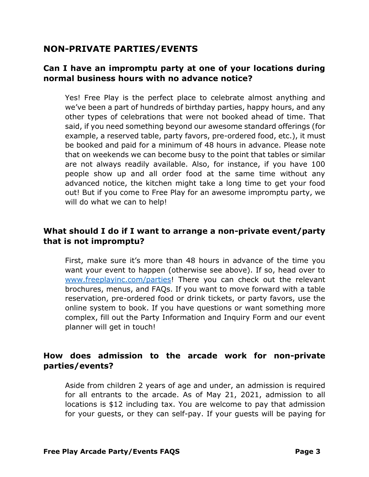# **NON-PRIVATE PARTIES/EVENTS**

# **Can I have an impromptu party at one of your locations during normal business hours with no advance notice?**

Yes! Free Play is the perfect place to celebrate almost anything and we've been a part of hundreds of birthday parties, happy hours, and any other types of celebrations that were not booked ahead of time. That said, if you need something beyond our awesome standard offerings (for example, a reserved table, party favors, pre-ordered food, etc.), it must be booked and paid for a minimum of 48 hours in advance. Please note that on weekends we can become busy to the point that tables or similar are not always readily available. Also, for instance, if you have 100 people show up and all order food at the same time without any advanced notice, the kitchen might take a long time to get your food out! But if you come to Free Play for an awesome impromptu party, we will do what we can to help!

# **What should I do if I want to arrange a non-private event/party that is not impromptu?**

First, make sure it's more than 48 hours in advance of the time you want your event to happen (otherwise see above). If so, head over to [www.freeplayinc.com/parties!](http://www.freeplayinc.com/parties) There you can check out the relevant brochures, menus, and FAQs. If you want to move forward with a table reservation, pre-ordered food or drink tickets, or party favors, use the online system to book. If you have questions or want something more complex, fill out the Party Information and Inquiry Form and our event planner will get in touch!

# **How does admission to the arcade work for non-private parties/events?**

Aside from children 2 years of age and under, an admission is required for all entrants to the arcade. As of May 21, 2021, admission to all locations is \$12 including tax. You are welcome to pay that admission for your guests, or they can self-pay. If your guests will be paying for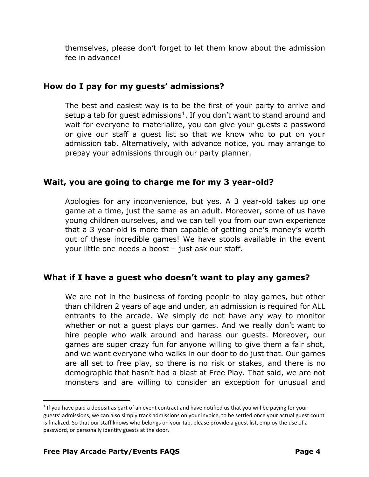themselves, please don't forget to let them know about the admission fee in advance!

# **How do I pay for my guests' admissions?**

The best and easiest way is to be the first of your party to arrive and setup a tab for guest admissions<sup>1</sup>. If you don't want to stand around and wait for everyone to materialize, you can give your guests a password or give our staff a guest list so that we know who to put on your admission tab. Alternatively, with advance notice, you may arrange to prepay your admissions through our party planner.

### **Wait, you are going to charge me for my 3 year-old?**

Apologies for any inconvenience, but yes. A 3 year-old takes up one game at a time, just the same as an adult. Moreover, some of us have young children ourselves, and we can tell you from our own experience that a 3 year-old is more than capable of getting one's money's worth out of these incredible games! We have stools available in the event your little one needs a boost – just ask our staff.

### **What if I have a guest who doesn't want to play any games?**

We are not in the business of forcing people to play games, but other than children 2 years of age and under, an admission is required for ALL entrants to the arcade. We simply do not have any way to monitor whether or not a guest plays our games. And we really don't want to hire people who walk around and harass our guests. Moreover, our games are super crazy fun for anyone willing to give them a fair shot, and we want everyone who walks in our door to do just that. Our games are all set to free play, so there is no risk or stakes, and there is no demographic that hasn't had a blast at Free Play. That said, we are not monsters and are willing to consider an exception for unusual and

 $1$  If you have paid a deposit as part of an event contract and have notified us that you will be paying for your guests' admissions, we can also simply track admissions on your invoice, to be settled once your actual guest count is finalized. So that our staff knows who belongs on your tab, please provide a guest list, employ the use of a password, or personally identify guests at the door.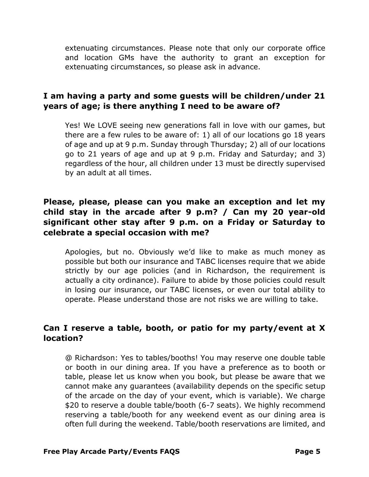extenuating circumstances. Please note that only our corporate office and location GMs have the authority to grant an exception for extenuating circumstances, so please ask in advance.

# **I am having a party and some guests will be children/under 21 years of age; is there anything I need to be aware of?**

Yes! We LOVE seeing new generations fall in love with our games, but there are a few rules to be aware of: 1) all of our locations go 18 years of age and up at 9 p.m. Sunday through Thursday; 2) all of our locations go to 21 years of age and up at 9 p.m. Friday and Saturday; and 3) regardless of the hour, all children under 13 must be directly supervised by an adult at all times.

# **Please, please, please can you make an exception and let my child stay in the arcade after 9 p.m? / Can my 20 year-old significant other stay after 9 p.m. on a Friday or Saturday to celebrate a special occasion with me?**

Apologies, but no. Obviously we'd like to make as much money as possible but both our insurance and TABC licenses require that we abide strictly by our age policies (and in Richardson, the requirement is actually a city ordinance). Failure to abide by those policies could result in losing our insurance, our TABC licenses, or even our total ability to operate. Please understand those are not risks we are willing to take.

# **Can I reserve a table, booth, or patio for my party/event at X location?**

@ Richardson: Yes to tables/booths! You may reserve one double table or booth in our dining area. If you have a preference as to booth or table, please let us know when you book, but please be aware that we cannot make any guarantees (availability depends on the specific setup of the arcade on the day of your event, which is variable). We charge \$20 to reserve a double table/booth (6-7 seats). We highly recommend reserving a table/booth for any weekend event as our dining area is often full during the weekend. Table/booth reservations are limited, and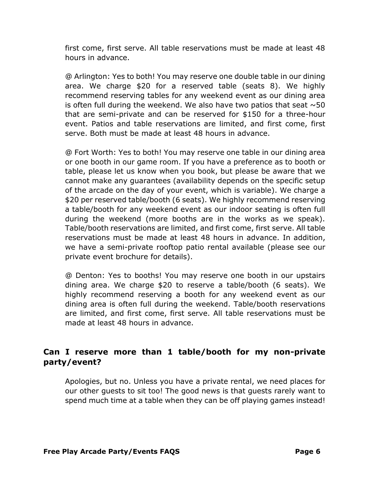first come, first serve. All table reservations must be made at least 48 hours in advance.

@ Arlington: Yes to both! You may reserve one double table in our dining area. We charge \$20 for a reserved table (seats 8). We highly recommend reserving tables for any weekend event as our dining area is often full during the weekend. We also have two patios that seat  $\sim$  50 that are semi-private and can be reserved for \$150 for a three-hour event. Patios and table reservations are limited, and first come, first serve. Both must be made at least 48 hours in advance.

@ Fort Worth: Yes to both! You may reserve one table in our dining area or one booth in our game room. If you have a preference as to booth or table, please let us know when you book, but please be aware that we cannot make any guarantees (availability depends on the specific setup of the arcade on the day of your event, which is variable). We charge a \$20 per reserved table/booth (6 seats). We highly recommend reserving a table/booth for any weekend event as our indoor seating is often full during the weekend (more booths are in the works as we speak). Table/booth reservations are limited, and first come, first serve. All table reservations must be made at least 48 hours in advance. In addition, we have a semi-private rooftop patio rental available (please see our private event brochure for details).

@ Denton: Yes to booths! You may reserve one booth in our upstairs dining area. We charge \$20 to reserve a table/booth (6 seats). We highly recommend reserving a booth for any weekend event as our dining area is often full during the weekend. Table/booth reservations are limited, and first come, first serve. All table reservations must be made at least 48 hours in advance.

# **Can I reserve more than 1 table/booth for my non-private party/event?**

Apologies, but no. Unless you have a private rental, we need places for our other guests to sit too! The good news is that guests rarely want to spend much time at a table when they can be off playing games instead!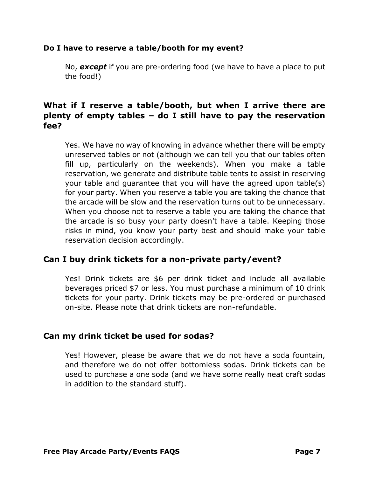#### **Do I have to reserve a table/booth for my event?**

No, *except* if you are pre-ordering food (we have to have a place to put the food!)

# **What if I reserve a table/booth, but when I arrive there are plenty of empty tables – do I still have to pay the reservation fee?**

Yes. We have no way of knowing in advance whether there will be empty unreserved tables or not (although we can tell you that our tables often fill up, particularly on the weekends). When you make a table reservation, we generate and distribute table tents to assist in reserving your table and guarantee that you will have the agreed upon table(s) for your party. When you reserve a table you are taking the chance that the arcade will be slow and the reservation turns out to be unnecessary. When you choose not to reserve a table you are taking the chance that the arcade is so busy your party doesn't have a table. Keeping those risks in mind, you know your party best and should make your table reservation decision accordingly.

# **Can I buy drink tickets for a non-private party/event?**

Yes! Drink tickets are \$6 per drink ticket and include all available beverages priced \$7 or less. You must purchase a minimum of 10 drink tickets for your party. Drink tickets may be pre-ordered or purchased on-site. Please note that drink tickets are non-refundable.

# **Can my drink ticket be used for sodas?**

Yes! However, please be aware that we do not have a soda fountain, and therefore we do not offer bottomless sodas. Drink tickets can be used to purchase a one soda (and we have some really neat craft sodas in addition to the standard stuff).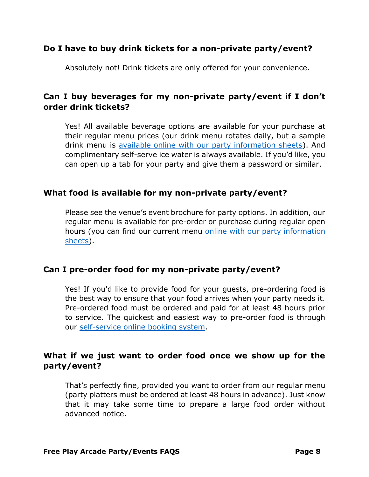# **Do I have to buy drink tickets for a non-private party/event?**

Absolutely not! Drink tickets are only offered for your convenience.

# **Can I buy beverages for my non-private party/event if I don't order drink tickets?**

Yes! All available beverage options are available for your purchase at their regular menu prices (our drink menu rotates daily, but a sample drink menu is [available online with our party information sheets\)](https://freeplayinc.com/partyform/). And complimentary self-serve ice water is always available. If you'd like, you can open up a tab for your party and give them a password or similar.

### **What food is available for my non-private party/event?**

Please see the venue's event brochure for party options. In addition, our regular menu is available for pre-order or purchase during regular open hours (you can find our current menu [online with our party information](https://freeplayinc.com/partyform/)  [sheets\)](https://freeplayinc.com/partyform/).

### **Can I pre-order food for my non-private party/event?**

Yes! If you'd like to provide food for your guests, pre-ordering food is the best way to ensure that your food arrives when your party needs it. Pre-ordered food must be ordered and paid for at least 48 hours prior to service. The quickest and easiest way to pre-order food is through our [self-service online booking system.](https://freeplayinc.com/tables/)

# **What if we just want to order food once we show up for the party/event?**

That's perfectly fine, provided you want to order from our regular menu (party platters must be ordered at least 48 hours in advance). Just know that it may take some time to prepare a large food order without advanced notice.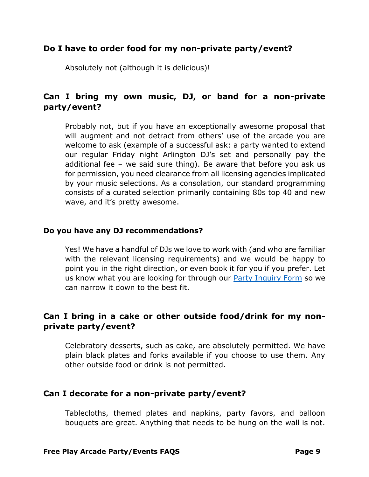### **Do I have to order food for my non-private party/event?**

Absolutely not (although it is delicious)!

# **Can I bring my own music, DJ, or band for a non-private party/event?**

Probably not, but if you have an exceptionally awesome proposal that will augment and not detract from others' use of the arcade you are welcome to ask (example of a successful ask: a party wanted to extend our regular Friday night Arlington DJ's set and personally pay the additional fee – we said sure thing). Be aware that before you ask us for permission, you need clearance from all licensing agencies implicated by your music selections. As a consolation, our standard programming consists of a curated selection primarily containing 80s top 40 and new wave, and it's pretty awesome.

#### **Do you have any DJ recommendations?**

Yes! We have a handful of DJs we love to work with (and who are familiar with the relevant licensing requirements) and we would be happy to point you in the right direction, or even book it for you if you prefer. Let us know what you are looking for through our **Party Inquiry Form** so we can narrow it down to the best fit.

# **Can I bring in a cake or other outside food/drink for my nonprivate party/event?**

Celebratory desserts, such as cake, are absolutely permitted. We have plain black plates and forks available if you choose to use them. Any other outside food or drink is not permitted.

### **Can I decorate for a non-private party/event?**

Tablecloths, themed plates and napkins, party favors, and balloon bouquets are great. Anything that needs to be hung on the wall is not.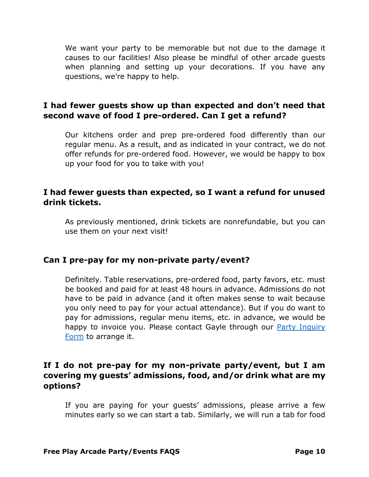We want your party to be memorable but not due to the damage it causes to our facilities! Also please be mindful of other arcade guests when planning and setting up your decorations. If you have any questions, we're happy to help.

# **I had fewer guests show up than expected and don't need that second wave of food I pre-ordered. Can I get a refund?**

Our kitchens order and prep pre-ordered food differently than our regular menu. As a result, and as indicated in your contract, we do not offer refunds for pre-ordered food. However, we would be happy to box up your food for you to take with you!

### **I had fewer guests than expected, so I want a refund for unused drink tickets.**

As previously mentioned, drink tickets are nonrefundable, but you can use them on your next visit!

### **Can I pre-pay for my non-private party/event?**

Definitely. Table reservations, pre-ordered food, party favors, etc. must be booked and paid for at least 48 hours in advance. Admissions do not have to be paid in advance (and it often makes sense to wait because you only need to pay for your actual attendance). But if you do want to pay for admissions, regular menu items, etc. in advance, we would be happy to invoice you. Please contact Gayle through our **Party Inquiry** [Form](https://freeplayinc.com/partyform/) to arrange it.

# **If I do not pre-pay for my non-private party/event, but I am covering my guests' admissions, food, and/or drink what are my options?**

If you are paying for your guests' admissions, please arrive a few minutes early so we can start a tab. Similarly, we will run a tab for food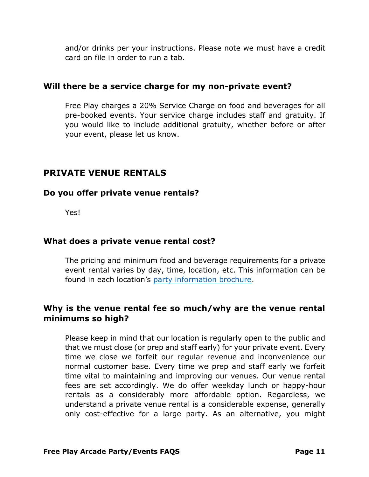and/or drinks per your instructions. Please note we must have a credit card on file in order to run a tab.

### **Will there be a service charge for my non-private event?**

Free Play charges a 20% Service Charge on food and beverages for all pre-booked events. Your service charge includes staff and gratuity. If you would like to include additional gratuity, whether before or after your event, please let us know.

# **PRIVATE VENUE RENTALS**

# **Do you offer private venue rentals?**

Yes!

# **What does a private venue rental cost?**

The pricing and minimum food and beverage requirements for a private event rental varies by day, time, location, etc. This information can be found in each location's [party information brochure.](https://freeplayinc.com/partyform/)

# **Why is the venue rental fee so much/why are the venue rental minimums so high?**

Please keep in mind that our location is regularly open to the public and that we must close (or prep and staff early) for your private event. Every time we close we forfeit our regular revenue and inconvenience our normal customer base. Every time we prep and staff early we forfeit time vital to maintaining and improving our venues. Our venue rental fees are set accordingly. We do offer weekday lunch or happy-hour rentals as a considerably more affordable option. Regardless, we understand a private venue rental is a considerable expense, generally only cost-effective for a large party. As an alternative, you might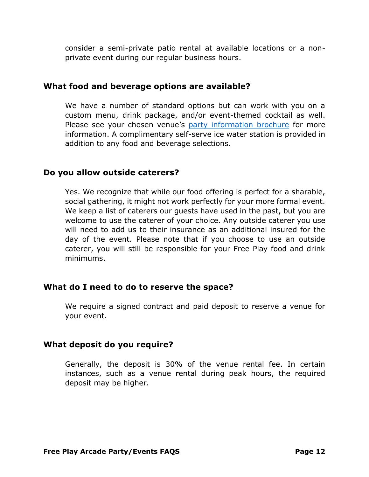consider a semi-private patio rental at available locations or a nonprivate event during our regular business hours.

#### **What food and beverage options are available?**

We have a number of standard options but can work with you on a custom menu, drink package, and/or event-themed cocktail as well. Please see your chosen venue's [party information brochure](https://freeplayinc.com/partyform/) for more information. A complimentary self-serve ice water station is provided in addition to any food and beverage selections.

#### **Do you allow outside caterers?**

Yes. We recognize that while our food offering is perfect for a sharable, social gathering, it might not work perfectly for your more formal event. We keep a list of caterers our guests have used in the past, but you are welcome to use the caterer of your choice. Any outside caterer you use will need to add us to their insurance as an additional insured for the day of the event. Please note that if you choose to use an outside caterer, you will still be responsible for your Free Play food and drink minimums.

### **What do I need to do to reserve the space?**

We require a signed contract and paid deposit to reserve a venue for your event.

### **What deposit do you require?**

Generally, the deposit is 30% of the venue rental fee. In certain instances, such as a venue rental during peak hours, the required deposit may be higher.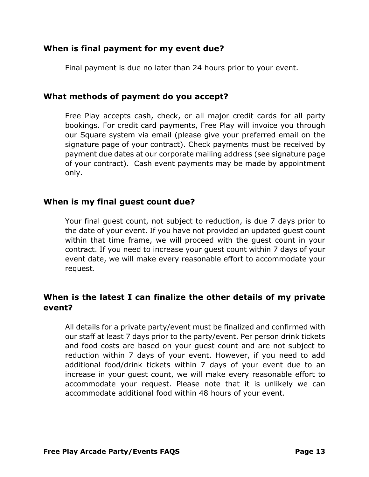# **When is final payment for my event due?**

Final payment is due no later than 24 hours prior to your event.

# **What methods of payment do you accept?**

Free Play accepts cash, check, or all major credit cards for all party bookings. For credit card payments, Free Play will invoice you through our Square system via email (please give your preferred email on the signature page of your contract). Check payments must be received by payment due dates at our corporate mailing address (see signature page of your contract). Cash event payments may be made by appointment only.

### **When is my final guest count due?**

Your final guest count, not subject to reduction, is due 7 days prior to the date of your event. If you have not provided an updated guest count within that time frame, we will proceed with the guest count in your contract. If you need to increase your guest count within 7 days of your event date, we will make every reasonable effort to accommodate your request.

# **When is the latest I can finalize the other details of my private event?**

All details for a private party/event must be finalized and confirmed with our staff at least 7 days prior to the party/event. Per person drink tickets and food costs are based on your guest count and are not subject to reduction within 7 days of your event. However, if you need to add additional food/drink tickets within 7 days of your event due to an increase in your guest count, we will make every reasonable effort to accommodate your request. Please note that it is unlikely we can accommodate additional food within 48 hours of your event.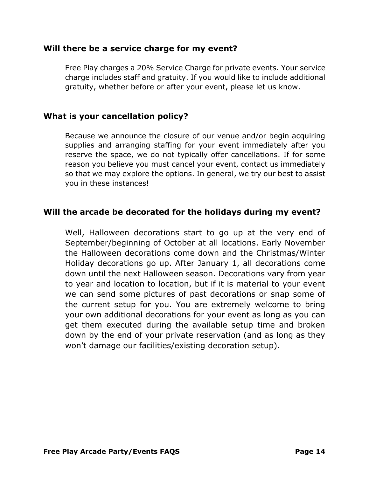### **Will there be a service charge for my event?**

Free Play charges a 20% Service Charge for private events. Your service charge includes staff and gratuity. If you would like to include additional gratuity, whether before or after your event, please let us know.

### **What is your cancellation policy?**

Because we announce the closure of our venue and/or begin acquiring supplies and arranging staffing for your event immediately after you reserve the space, we do not typically offer cancellations. If for some reason you believe you must cancel your event, contact us immediately so that we may explore the options. In general, we try our best to assist you in these instances!

### **Will the arcade be decorated for the holidays during my event?**

Well, Halloween decorations start to go up at the very end of September/beginning of October at all locations. Early November the Halloween decorations come down and the Christmas/Winter Holiday decorations go up. After January 1, all decorations come down until the next Halloween season. Decorations vary from year to year and location to location, but if it is material to your event we can send some pictures of past decorations or snap some of the current setup for you. You are extremely welcome to bring your own additional decorations for your event as long as you can get them executed during the available setup time and broken down by the end of your private reservation (and as long as they won't damage our facilities/existing decoration setup).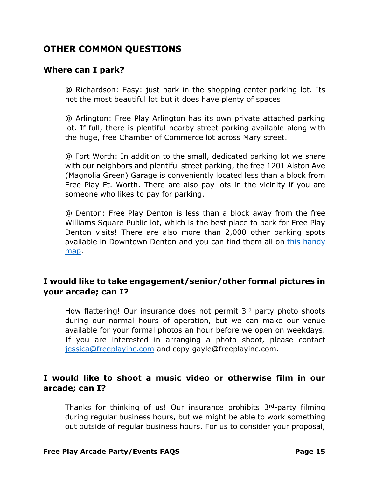# **OTHER COMMON QUESTIONS**

### **Where can I park?**

@ Richardson: Easy: just park in the shopping center parking lot. Its not the most beautiful lot but it does have plenty of spaces!

@ Arlington: Free Play Arlington has its own private attached parking lot. If full, there is plentiful nearby street parking available along with the huge, free Chamber of Commerce lot across Mary street.

@ Fort Worth: In addition to the small, dedicated parking lot we share with our neighbors and plentiful street parking, the free 1201 Alston Ave (Magnolia Green) Garage is conveniently located less than a block from Free Play Ft. Worth. There are also pay lots in the vicinity if you are someone who likes to pay for parking.

@ Denton: Free Play Denton is less than a block away from the free Williams Square Public lot, which is the best place to park for Free Play Denton visits! There are also more than 2,000 other parking spots available in Downtown Denton and you can find them all on [this handy](https://www.google.com/maps/d/u/0/viewer?mid=1tOZc-T41GwNdQfDSQLW1LfRJwLWseTgh&ll=33.212315885102406%2C-97.12962535000003&z=16)  [map.](https://www.google.com/maps/d/u/0/viewer?mid=1tOZc-T41GwNdQfDSQLW1LfRJwLWseTgh&ll=33.212315885102406%2C-97.12962535000003&z=16)

# **I would like to take engagement/senior/other formal pictures in your arcade; can I?**

How flattering! Our insurance does not permit 3rd party photo shoots during our normal hours of operation, but we can make our venue available for your formal photos an hour before we open on weekdays. If you are interested in arranging a photo shoot, please contact [jessica@freeplayinc.com](mailto:jessica@freeplayinc.com) and copy gayle@freeplayinc.com.

# **I would like to shoot a music video or otherwise film in our arcade; can I?**

Thanks for thinking of us! Our insurance prohibits  $3<sup>rd</sup>$ -party filming during regular business hours, but we might be able to work something out outside of regular business hours. For us to consider your proposal,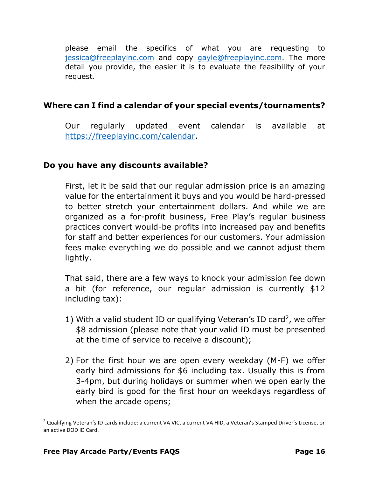please email the specifics of what you are requesting to [jessica@freeplayinc.com](mailto:jessica@freeplayinc.com) and copy [gayle@freeplayinc.com.](mailto:gayle@freeplayinc.com) The more detail you provide, the easier it is to evaluate the feasibility of your request.

# **Where can I find a calendar of your special events/tournaments?**

Our regularly updated event calendar is available at [https://freeplayinc.com/calendar.](https://freeplayinc.com/calendar)

### **Do you have any discounts available?**

First, let it be said that our regular admission price is an amazing value for the entertainment it buys and you would be hard-pressed to better stretch your entertainment dollars. And while we are organized as a for-profit business, Free Play's regular business practices convert would-be profits into increased pay and benefits for staff and better experiences for our customers. Your admission fees make everything we do possible and we cannot adjust them lightly.

That said, there are a few ways to knock your admission fee down a bit (for reference, our regular admission is currently \$12 including tax):

- 1) With a valid student ID or qualifying Veteran's ID card<sup>2</sup>, we offer \$8 admission (please note that your valid ID must be presented at the time of service to receive a discount);
- 2) For the first hour we are open every weekday (M-F) we offer early bird admissions for \$6 including tax. Usually this is from 3-4pm, but during holidays or summer when we open early the early bird is good for the first hour on weekdays regardless of when the arcade opens;

<sup>&</sup>lt;sup>2</sup> Qualifying Veteran's ID cards include: a current VA VIC, a current VA HID, a Veteran's Stamped Driver's License, or an active DOD ID Card.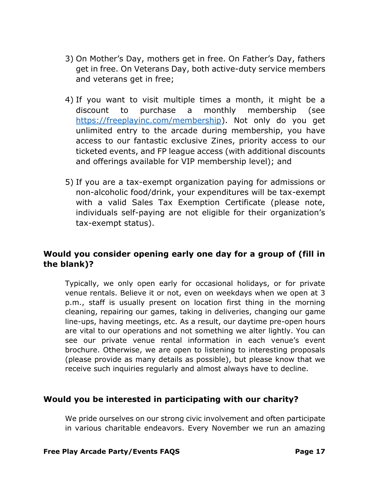- 3) On Mother's Day, mothers get in free. On Father's Day, fathers get in free. On Veterans Day, both active-duty service members and veterans get in free;
- 4) If you want to visit multiple times a month, it might be a discount to purchase a monthly membership (see [https://freeplayinc.com/membership\)](https://freeplayinc.com/membership). Not only do you get unlimited entry to the arcade during membership, you have access to our fantastic exclusive Zines, priority access to our ticketed events, and FP league access (with additional discounts and offerings available for VIP membership level); and
- 5) If you are a tax-exempt organization paying for admissions or non-alcoholic food/drink, your expenditures will be tax-exempt with a valid Sales Tax Exemption Certificate (please note, individuals self-paying are not eligible for their organization's tax-exempt status).

# **Would you consider opening early one day for a group of (fill in the blank)?**

Typically, we only open early for occasional holidays, or for private venue rentals. Believe it or not, even on weekdays when we open at 3 p.m., staff is usually present on location first thing in the morning cleaning, repairing our games, taking in deliveries, changing our game line-ups, having meetings, etc. As a result, our daytime pre-open hours are vital to our operations and not something we alter lightly. You can see our private venue rental information in each venue's event brochure. Otherwise, we are open to listening to interesting proposals (please provide as many details as possible), but please know that we receive such inquiries regularly and almost always have to decline.

### **Would you be interested in participating with our charity?**

We pride ourselves on our strong civic involvement and often participate in various charitable endeavors. Every November we run an amazing